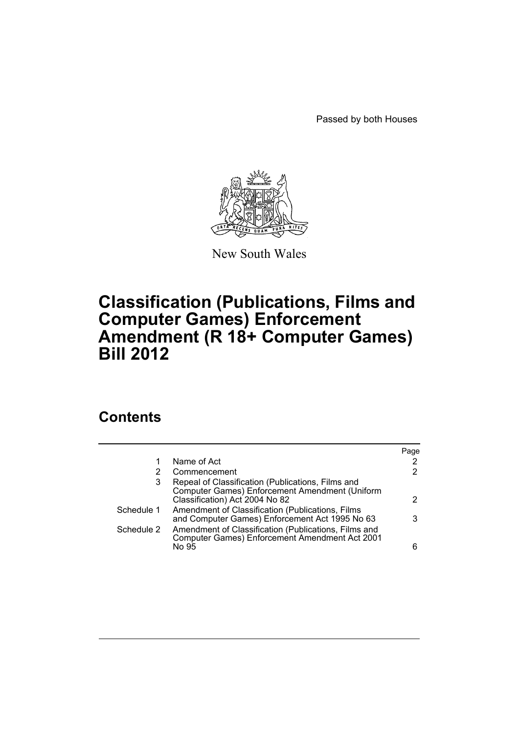Passed by both Houses



New South Wales

# **Classification (Publications, Films and Computer Games) Enforcement Amendment (R 18+ Computer Games) Bill 2012**

# **Contents**

|            |                                                                                                                                       | Page |
|------------|---------------------------------------------------------------------------------------------------------------------------------------|------|
|            | Name of Act                                                                                                                           | 2    |
| 2          | Commencement                                                                                                                          | 2    |
| 3          | Repeal of Classification (Publications, Films and<br>Computer Games) Enforcement Amendment (Uniform<br>Classification) Act 2004 No 82 | 2    |
| Schedule 1 | Amendment of Classification (Publications, Films<br>and Computer Games) Enforcement Act 1995 No 63                                    | 3    |
| Schedule 2 | Amendment of Classification (Publications, Films and<br>Computer Games) Enforcement Amendment Act 2001<br>No 95                       | 6    |
|            |                                                                                                                                       |      |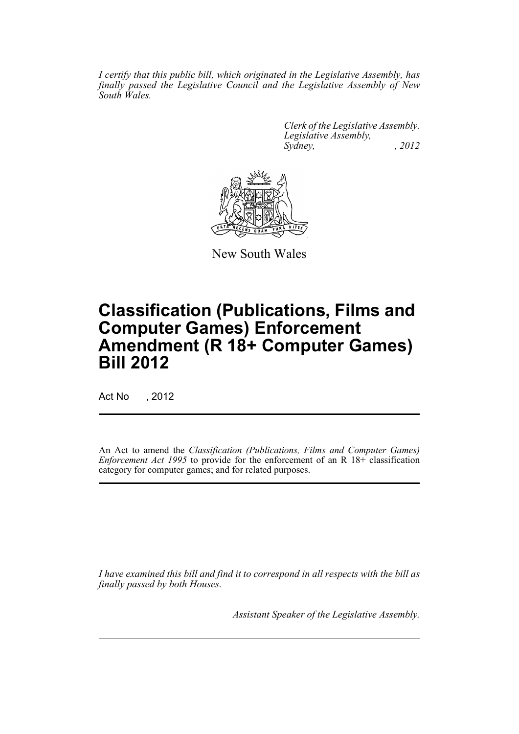*I certify that this public bill, which originated in the Legislative Assembly, has finally passed the Legislative Council and the Legislative Assembly of New South Wales.*

> *Clerk of the Legislative Assembly. Legislative Assembly, Sydney, , 2012*



New South Wales

# **Classification (Publications, Films and Computer Games) Enforcement Amendment (R 18+ Computer Games) Bill 2012**

Act No , 2012

An Act to amend the *Classification (Publications, Films and Computer Games) Enforcement Act 1995* to provide for the enforcement of an R 18+ classification category for computer games; and for related purposes.

*I have examined this bill and find it to correspond in all respects with the bill as finally passed by both Houses.*

*Assistant Speaker of the Legislative Assembly.*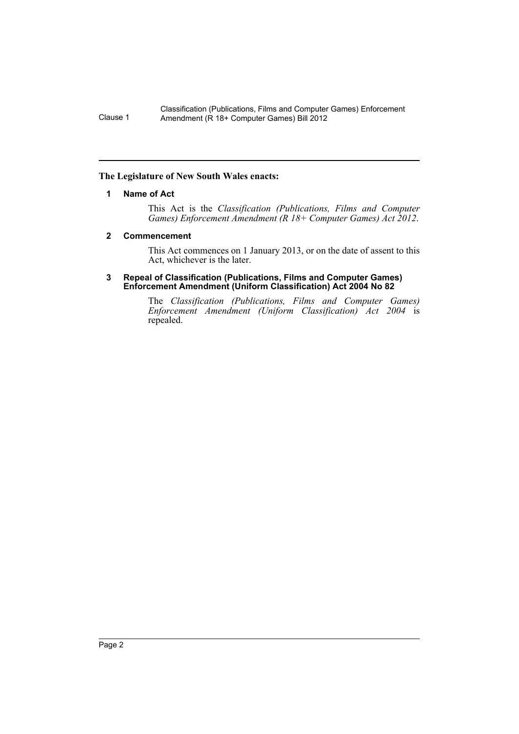## <span id="page-3-0"></span>**The Legislature of New South Wales enacts:**

### **1 Name of Act**

This Act is the *Classification (Publications, Films and Computer Games) Enforcement Amendment (R 18+ Computer Games) Act 2012*.

#### <span id="page-3-1"></span>**2 Commencement**

This Act commences on 1 January 2013, or on the date of assent to this Act, whichever is the later.

#### <span id="page-3-2"></span>**3 Repeal of Classification (Publications, Films and Computer Games) Enforcement Amendment (Uniform Classification) Act 2004 No 82**

The *Classification (Publications, Films and Computer Games) Enforcement Amendment (Uniform Classification) Act 2004* is repealed.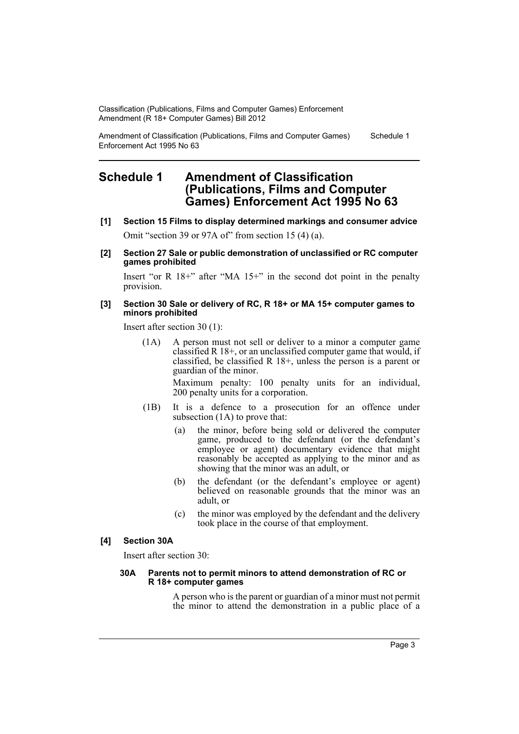Amendment of Classification (Publications, Films and Computer Games) Enforcement Act 1995 No 63 Schedule 1

# <span id="page-4-0"></span>**Schedule 1 Amendment of Classification (Publications, Films and Computer Games) Enforcement Act 1995 No 63**

- **[1] Section 15 Films to display determined markings and consumer advice** Omit "section 39 or 97A of" from section 15 (4) (a).
- **[2] Section 27 Sale or public demonstration of unclassified or RC computer games prohibited**

Insert "or R 18+" after "MA 15+" in the second dot point in the penalty provision.

#### **[3] Section 30 Sale or delivery of RC, R 18+ or MA 15+ computer games to minors prohibited**

Insert after section 30 (1):

(1A) A person must not sell or deliver to a minor a computer game classified R 18+, or an unclassified computer game that would, if classified, be classified R 18+, unless the person is a parent or guardian of the minor.

> Maximum penalty: 100 penalty units for an individual, 200 penalty units for a corporation.

- (1B) It is a defence to a prosecution for an offence under subsection (1A) to prove that:
	- (a) the minor, before being sold or delivered the computer game, produced to the defendant (or the defendant's employee or agent) documentary evidence that might reasonably be accepted as applying to the minor and as showing that the minor was an adult, or
	- (b) the defendant (or the defendant's employee or agent) believed on reasonable grounds that the minor was an adult, or
	- (c) the minor was employed by the defendant and the delivery took place in the course of that employment.

# **[4] Section 30A**

Insert after section 30:

#### **30A Parents not to permit minors to attend demonstration of RC or R 18+ computer games**

A person who is the parent or guardian of a minor must not permit the minor to attend the demonstration in a public place of a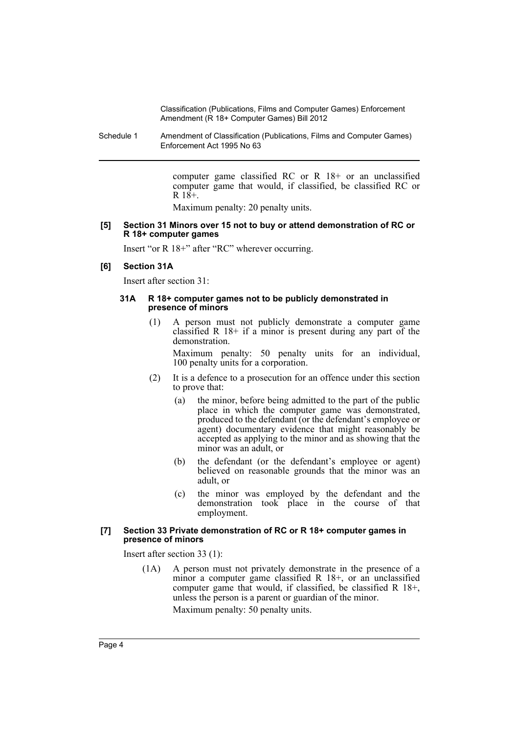Schedule 1 Amendment of Classification (Publications, Films and Computer Games) Enforcement Act 1995 No 63

> computer game classified RC or R 18+ or an unclassified computer game that would, if classified, be classified RC or  $R$  18+.

Maximum penalty: 20 penalty units.

#### **[5] Section 31 Minors over 15 not to buy or attend demonstration of RC or R 18+ computer games**

Insert "or R 18+" after "RC" wherever occurring.

#### **[6] Section 31A**

Insert after section 31:

#### **31A R 18+ computer games not to be publicly demonstrated in presence of minors**

(1) A person must not publicly demonstrate a computer game classified R 18+ if a minor is present during any part of the demonstration.

Maximum penalty: 50 penalty units for an individual, 100 penalty units for a corporation.

- (2) It is a defence to a prosecution for an offence under this section to prove that:
	- (a) the minor, before being admitted to the part of the public place in which the computer game was demonstrated, produced to the defendant (or the defendant's employee or agent) documentary evidence that might reasonably be accepted as applying to the minor and as showing that the minor was an adult, or
	- (b) the defendant (or the defendant's employee or agent) believed on reasonable grounds that the minor was an adult, or
	- (c) the minor was employed by the defendant and the demonstration took place in the course of that employment.

#### **[7] Section 33 Private demonstration of RC or R 18+ computer games in presence of minors**

Insert after section 33 (1):

(1A) A person must not privately demonstrate in the presence of a minor a computer game classified R 18+, or an unclassified computer game that would, if classified, be classified R 18+, unless the person is a parent or guardian of the minor. Maximum penalty: 50 penalty units.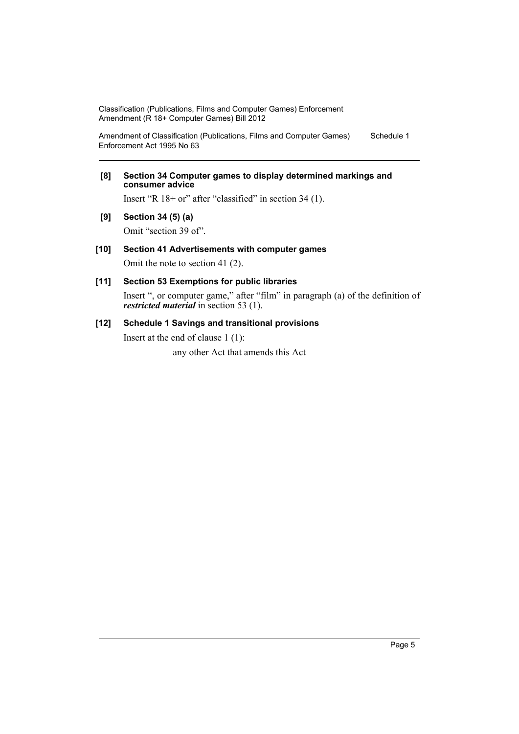Amendment of Classification (Publications, Films and Computer Games) Enforcement Act 1995 No 63 Schedule 1

### **[8] Section 34 Computer games to display determined markings and consumer advice**

Insert "R 18+ or" after "classified" in section 34 (1).

**[9] Section 34 (5) (a)**

Omit "section 39 of".

## **[10] Section 41 Advertisements with computer games**

Omit the note to section 41 (2).

# **[11] Section 53 Exemptions for public libraries**

Insert ", or computer game," after "film" in paragraph (a) of the definition of *restricted material* in section 53 (1).

# **[12] Schedule 1 Savings and transitional provisions**

Insert at the end of clause 1 (1):

any other Act that amends this Act